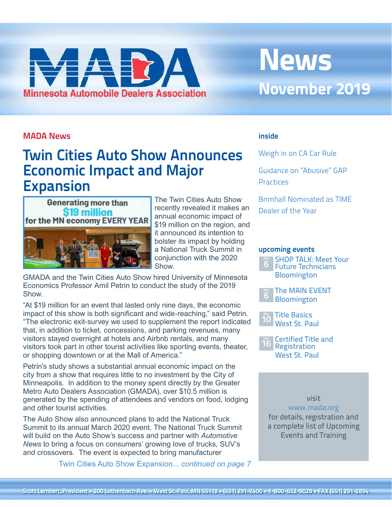# <span id="page-0-0"></span>**Minnesota Automobile Dealers Association**

## **News November 2019**

#### **MADA News**

## **Twin Cities Auto Show Announces Economic Impact and Major Expansion**



The Twin Cities Auto Show recently revealed it makes an annual economic impact of \$19 million on the region, and it announced its intention to bolster its impact by holding a National Truck Summit in conjunction with the 2020 Show.

GMADA and the Twin Cities Auto Show hired University of Minnesota Economics Professor Amil Petrin to conduct the study of the 2019 Show.

"At \$19 million for an event that lasted only nine days, the economic impact of this show is both significant and wide-reaching," said Petrin. "The electronic exit-survey we used to supplement the report indicated that, in addition to ticket, concessions, and parking revenues, many visitors stayed overnight at hotels and Airbnb rentals, and many visitors took part in other tourist activities like sporting events, theater, or shopping downtown or at the Mall of America."

Petrin's study shows a substantial annual economic impact on the city from a show that requires little to no investment by the City of Minneapolis. In addition to the money spent directly by the Greater Metro Auto Dealers Association (GMADA), over \$10.5 million is generated by the spending of attendees and vendors on food, lodging and other tourist activities.

The Auto Show also announced plans to add the National Truck Summit to its annual March 2020 event. The National Truck Summit will build on the Auto Show's success and partner with *Automotive News* to bring a focus on consumers' growing love of trucks, SUV's and crossovers. The event is expected to bring manufacturer

[Twin Cities Auto Show Expansion...](#page-6-0) *[continued on page](#page-1-0) 7* 

#### **inside**

Weigh in on CA Car Rule

Guidance on "Abusive" GAP **Practices** 

Brimhall Nominated as TIME Dealer of the Year

#### **upcoming events**





Title Basics West St. Paul **10**



visit

[www.mada.org](http://www.mada.org/training)  for details, registration and a complete list of Upcoming Events and Training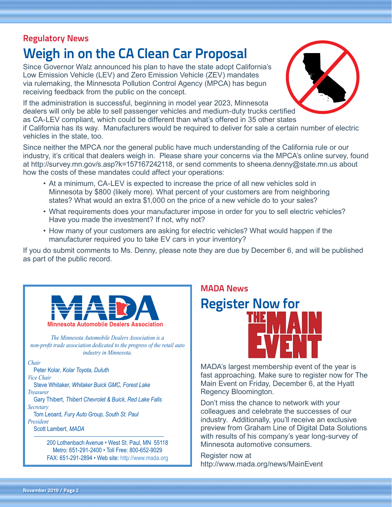## <span id="page-1-0"></span>**Regulatory News**

## **Weigh in on the CA Clean Car Proposal**

Since Governor Walz announced his plan to have the state adopt California's Low Emission Vehicle (LEV) and Zero Emission Vehicle (ZEV) mandates via rulemaking, the Minnesota Pollution Control Agency (MPCA) has begun receiving feedback from the public on the concept.

If the administration is successful, beginning in model year 2023, Minnesota dealers will only be able to sell passenger vehicles and medium-duty trucks certified as CA-LEV compliant, which could be different than what's offered in 35 other states if California has its way. Manufacturers would be required to deliver for sale a certain number of electric vehicles in the state, too.

Since neither the MPCA nor the general public have much understanding of the California rule or our industry, it's critical that dealers weigh in. Please share your concerns via the MPCA's online survey, found at <http://survey.mn.gov/s.asp?k=157167242118>, or send comments to [sheena.denny@state.mn.us](mailto:sheena.denny@state.mn.us) about how the costs of these mandates could affect your operations:

- At a minimum, CA-LEV is expected to increase the price of all new vehicles sold in Minnesota by \$800 (likely more). What percent of your customers are from neighboring states? What would an extra \$1,000 on the price of a new vehicle do to your sales?
- What requirements does your manufacturer impose in order for you to sell electric vehicles? Have you made the investment? If not, why not?
- How many of your customers are asking for electric vehicles? What would happen if the manufacturer required you to take EV cars in your inventory?

If you do submit comments to Ms. Denny, please note they are due by December 6, and will be published as part of the public record.

#### **Minnesota Automobile Dealers Association** *The Minnesota Automobile Dealers Association is a non-profit trade association dedicated to the progress of the retail auto industry in Minnesota. Chair* Peter Kolar, *Kolar Toyota, Duluth Vice Chair* Steve Whitaker, *Whitaker Buick GMC, Forest Lake Treasurer*

 Gary Thibert, *Thibert Chevrolet & Buick, Red Lake Falls Secretary*

 Tom Leoard, *Fury Auto Group, South St. Paul President*

Scott Lambert, *MADA*

200 Lothenbach Avenue • West St. Paul, MN 55118 Metro: 651-291-2400 • Toll Free: 800-652-9029 FAX: 651-291-2894 • Web site:<http://www.mada.org>

## **MADA News Register Now for**

MADA's largest membership event of the year is fast approaching. Make sure to register now for The Main Event on Friday, December 6, at the Hyatt Regency Bloomington.

Don't miss the chance to network with your colleagues and celebrate the successes of our industry. Additionally, you'll receive an exclusive preview from Graham Line of Digital Data Solutions with results of his company's year long-survey of Minnesota automotive consumers.

Register now at <http://www.mada.org/news/MainEvent>



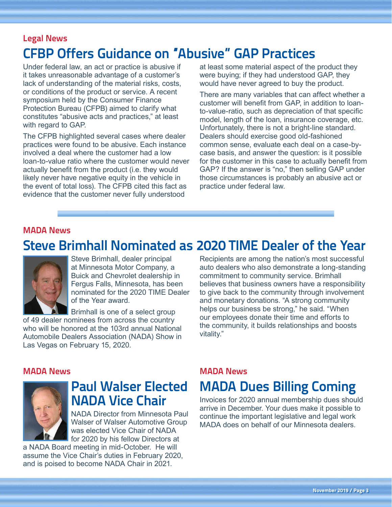## **Legal News CFBP Offers Guidance on "Abusive" GAP Practices**

Under federal law, an act or practice is abusive if it takes unreasonable advantage of a customer's lack of understanding of the material risks, costs, or conditions of the product or service. A recent symposium held by the Consumer Finance Protection Bureau (CFPB) aimed to clarify what constitutes "abusive acts and practices," at least with regard to GAP.

The CFPB highlighted several cases where dealer practices were found to be abusive. Each instance involved a deal where the customer had a low loan-to-value ratio where the customer would never actually benefit from the product (i.e. they would likely never have negative equity in the vehicle in the event of total loss). The CFPB cited this fact as evidence that the customer never fully understood

at least some material aspect of the product they were buying; if they had understood GAP, they would have never agreed to buy the product.

There are many variables that can affect whether a customer will benefit from GAP, in addition to loanto-value-ratio, such as depreciation of that specific model, length of the loan, insurance coverage, etc. Unfortunately, there is not a bright-line standard. Dealers should exercise good old-fashioned common sense, evaluate each deal on a case-bycase basis, and answer the question: is it possible for the customer in this case to actually benefit from GAP? If the answer is "no," then selling GAP under those circumstances is probably an abusive act or practice under federal law.

#### **MADA News**

## **Steve Brimhall Nominated as 2020 TIME Dealer of the Year**



Steve Brimhall, dealer principal at Minnesota Motor Company, a Buick and Chevrolet dealership in Fergus Falls, Minnesota, has been nominated for the 2020 TIME Dealer of the Year award.

Brimhall is one of a select group of 49 dealer nominees from across the country who will be honored at the 103rd annual National Automobile Dealers Association (NADA) Show in Las Vegas on February 15, 2020.

Recipients are among the nation's most successful auto dealers who also demonstrate a long-standing commitment to community service. Brimhall believes that business owners have a responsibility to give back to the community through involvement and monetary donations. "A strong community helps our business be strong," he said. "When our employees donate their time and efforts to the community, it builds relationships and boosts vitality."

#### **MADA News**



## **Paul Walser Elected**

NADA Director from Minnesota Paul Walser of Walser Automotive Group was elected Vice Chair of NADA for 2020 by his fellow Directors at

a NADA Board meeting in mid-October. He will assume the Vice Chair's duties in February 2020, and is poised to become NADA Chair in 2021.

#### **MADA News**

## **MADA Dues Billing Coming**

Invoices for 2020 annual membership dues should arrive in December. Your dues make it possible to continue the important legislative and legal work MADA does on behalf of our Minnesota dealers.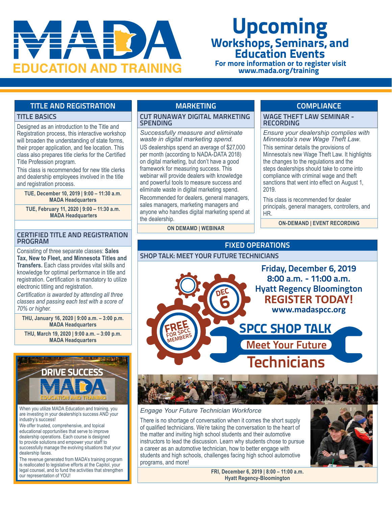

# **Upcoming Workshops, Seminars, and Education Events**

 **For more information or to register visit [www.mada.org/training](http://www.mada.org/training)**

#### **TITLE AND REGISTRATION**

#### **TITLE BASICS**

Designed as an introduction to the Title and Registration process, this interactive workshop will broaden the understanding of state forms, their proper application, and fee location. This class also prepares title clerks for the Certified Title Profession program.

This class is recommended for new title clerks and dealership employees involved in the title and registration process.

**TUE, December 10, 2019 | 9:00 – 11:30 a.m. MADA Headquarters**

**TUE, February 11, 2020 | 9:00 – 11:30 a.m. MADA Headquarters**

#### **CERTIFIED TITLE AND REGISTRATION PROGRAM**

Consisting of three separate classes: **Sales Tax, New to Fleet, and Minnesota Titles and Transfers.** Each class provides vital skills and knowledge for optimal performance in title and registration. Certification is mandatory to utilize electronic titling and registration.

*Certification is awarded by attending all three classes and passing each test with a score of 70% or higher.*

**THU, January 16, 2020 | 9:00 a.m. – 3:00 p.m. MADA Headquarters**

**THU, March 19, 2020 | 9:00 a.m. – 3:00 p.m. MADA Headquarters**



When you utilize MADA Education and training, you are investing in your dealership's success AND your industry's success!

We offer trusted, comprehensive, and topical educational opportunities that serve to improve dealership operations. Each course is designed to provide solutions and empower your staff to successfully manage the evolving situations that your dealership faces.

The revenue generated from MADA's training program is reallocated to legislative efforts at the Capitol, your legal counsel, and to fund the activities that strengthen our representation of YOU!

#### **MARKETING**

#### **CUT RUNAWAY DIGITAL MARKETING SPENDING**

*Successfully measure and eliminate waste in digital marketing spend.* US dealerships spend an average of \$27,000 per month (according to NADA-DATA 2018) on digital marketing, but don't have a good framework for measuring success. This webinar will provide dealers with knowledge and powerful tools to measure success and eliminate waste in digital marketing spend. Recommended for dealers, general managers, sales managers, marketing managers and anyone who handles digital marketing spend at the dealership.

**ON DEMAMD | WEBINAR**

#### **COMPLIANCE**

**WAGE THEFT LAW SEMINAR - RECORDING**

*Ensure your dealership complies with Minnesota's new Wage Theft Law.*  This seminar details the provisions of Minnesota's new Wage Theft Law. It highlights the changes to the regulations and the steps dealerships should take to come into compliance with criminal wage and theft sanctions that went into effect on August 1, 2019.

This class is recommended for dealer principals, general managers, controllers, and HR.

**ON-DEMAND | EVENT RECORDING** 

#### **FIXED OPERATIONS**



#### *Engage Your Future Technician Workforce*

There is no shortage of conversation when it comes the short supply of qualified technicians. We're taking the conversation to the heart of the matter and inviting high school students and their automotive instructors to lead the discussion. Learn why students chose to pursue a career as an automotive technician, how to better engage with students and high schools, challenges facing high school automotive programs, and more!



**FRI, December 6, 2019 | 8:00 – 11:00 a.m. Hyatt Regency-Bloomington**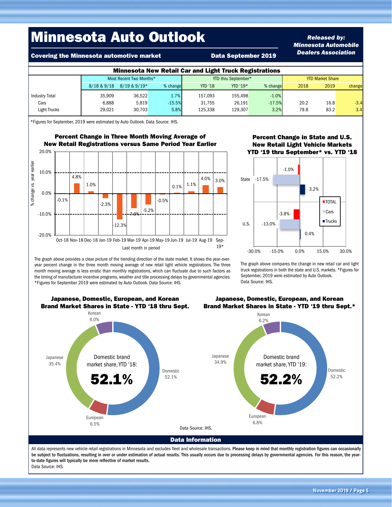## Minnesota Auto Outlook

Covering the Minnesota automotive market **Data September 2019** 

#### *Released by: Minnesota Automobile Dealers Association*

| <b>Minnesota New Retail Car and Light Truck Registrations</b> |                         |              |          |                     |          |          |                         |      |        |  |  |  |
|---------------------------------------------------------------|-------------------------|--------------|----------|---------------------|----------|----------|-------------------------|------|--------|--|--|--|
|                                                               | Most Recent Two Months* |              |          | YTD thru September* |          |          | <b>YTD Market Share</b> |      |        |  |  |  |
|                                                               | 8/18 & 9/18             | 8/19 & 9/19* | % change | <b>YTD '18</b>      | YTD '19* | % change | 2018                    | 2019 | change |  |  |  |
| <b>Industry Total</b>                                         | 35.909                  | 36.522       | 1.7%     | 157,093             | 155.498  | $-1.0%$  |                         |      |        |  |  |  |
| Cars                                                          | 6.888                   | 5.819        | $-15.5%$ | 31.755              | 26.191   | $-17.5%$ | 20.2                    | 16.8 | $-3.4$ |  |  |  |
| Light Trucks                                                  | 29,021                  | 30.703       | 5.8%     | 125,338             | 129,307  | 3.2%     | 79.8                    | 83.2 | 3.4    |  |  |  |

\*Figures for September, 2019 were estimated by Auto Outlook. Data Source: IHS.

Percent Change in Three Month Moving Average of New Retail Registrations versus Same Period Year Earlier



The graph above provides a clear picture of the trending direction of the state market. It shows the year-overyear percent change in the three month moving average of new retail light vehicle registrations. The three month moving average is less erratic than monthly registrations, which can fluctuate due to such factors as the timing of manufacturer incentive programs, weather and title processing delays by governmental agencies.

\*Figures for September 2019 were estimated by Auto Outlook. Data Source: IHS.

#### Percent Change in State and U.S. New Retail Light Vehicle Markets YTD '19 thru September\* vs. YTD '18



The graph above compares the change in new retail car and light truck registrations in both the state and U.S. markets. \*Figures for September, 2019 were estimated by Auto Outlook. Data Source: IHS.



be subject to fluctuations, resulting in over or under estimation of actual results. This usually occurs due to processing delays by governmental agencies. For this reason, the yearto-date figures will typically be more reflective of market results. Data Source: IHS.

Japanese, Domestic, European, and Korean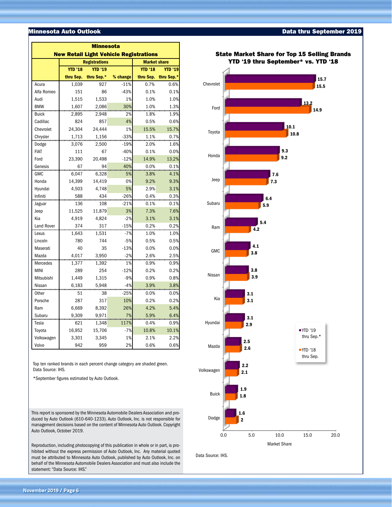#### Minnesota Auto Outlook

| <b>Minnesota</b>  |                                               |                      |                     |                |                |  |  |  |  |  |  |
|-------------------|-----------------------------------------------|----------------------|---------------------|----------------|----------------|--|--|--|--|--|--|
|                   | <b>New Retail Light Vehicle Registrations</b> |                      |                     |                |                |  |  |  |  |  |  |
|                   |                                               | <b>Registrations</b> | <b>Market share</b> |                |                |  |  |  |  |  |  |
|                   | <b>YTD '18</b>                                | <b>YTD '19</b>       |                     | <b>YTD '18</b> | <b>YTD '19</b> |  |  |  |  |  |  |
|                   | thru Sep.                                     | thru Sep.*           | % change            | thru Sep.      | thru Sep.*     |  |  |  |  |  |  |
| Acura             | 1,039                                         | 927                  | $-11%$              | 0.7%           | 0.6%           |  |  |  |  |  |  |
| Alfa Romeo        | 151                                           | 86                   | $-43%$              | 0.1%           | 0.1%           |  |  |  |  |  |  |
| Audi              | 1,515                                         | 1,533                | 1%                  | 1.0%           | 1.0%           |  |  |  |  |  |  |
| <b>BMW</b>        | 1,607                                         | 2,086                | 30%                 | 1.0%           | 1.3%           |  |  |  |  |  |  |
| <b>Buick</b>      | 2,895                                         | 2,948                | 2%                  | 1.8%           | 1.9%           |  |  |  |  |  |  |
| Cadillac          | 824                                           | 857                  | 4%                  | 0.5%           | 0.6%           |  |  |  |  |  |  |
| Chevrolet         | 24,304                                        | 24,444               | 1%                  | 15.5%          | 15.7%          |  |  |  |  |  |  |
| Chrysler          | 1,713                                         | 1,156                | $-33%$              | 1.1%           | 0.7%           |  |  |  |  |  |  |
| Dodge             | 3,076                                         | 2,500                | $-19%$              | 2.0%           | 1.6%           |  |  |  |  |  |  |
| <b>FIAT</b>       | 111                                           | 67                   | $-40%$              | 0.1%           | 0.0%           |  |  |  |  |  |  |
| Ford              | 23,390                                        | 20,498               | $-12%$              | 14.9%          | 13.2%          |  |  |  |  |  |  |
| Genesis           | 67                                            | 94                   | 40%                 | 0.0%           | 0.1%           |  |  |  |  |  |  |
| <b>GMC</b>        | 6,047                                         | 6,328                | 5%                  | 3.8%           | 4.1%           |  |  |  |  |  |  |
| Honda             | 14,399                                        | 14,419               | 0%                  | 9.2%           | 9.3%           |  |  |  |  |  |  |
| Hyundai           | 4,503                                         | 4,748                | 5%                  | 2.9%           | 3.1%           |  |  |  |  |  |  |
| Infiniti          | 588                                           | 434                  | $-26%$              | 0.4%           | 0.3%           |  |  |  |  |  |  |
| Jaguar            | 136                                           | 108                  | $-21%$              | 0.1%           | 0.1%           |  |  |  |  |  |  |
| Jeep              | 11,525                                        | 11,879               | 3%                  | 7.3%           | 7.6%           |  |  |  |  |  |  |
| Kia               | 4,919                                         | 4,824                | $-2%$               | 3.1%           | 3.1%           |  |  |  |  |  |  |
| <b>Land Rover</b> | 374                                           | 317                  | $-15%$              | 0.2%           | 0.2%           |  |  |  |  |  |  |
| Lexus             | 1,643                                         | 1,531                | $-7%$               | 1.0%           | 1.0%           |  |  |  |  |  |  |
| Lincoln           | 780                                           | 744                  | $-5%$               | 0.5%           | 0.5%           |  |  |  |  |  |  |
| Maserati          | 40                                            | 35                   | $-13%$              | 0.0%           | 0.0%           |  |  |  |  |  |  |
| Mazda             | 4,017                                         | 3,950                | $-2%$               | 2.6%           | 2.5%           |  |  |  |  |  |  |
| Mercedes          | 1,377                                         | 1,392                | 1%                  | 0.9%           | 0.9%           |  |  |  |  |  |  |
| <b>MINI</b>       | 289                                           | 254                  | $-12%$              | 0.2%           | 0.2%           |  |  |  |  |  |  |
| Mitsubishi        | 1,449                                         | 1,315                | $-9%$               | 0.9%           | 0.8%           |  |  |  |  |  |  |
| Nissan            | 6,183                                         | 5,948                | $-4%$               | 3.9%           | 3.8%           |  |  |  |  |  |  |
| Other             | 51                                            | 38                   | $-25%$              | 0.0%           | 0.0%           |  |  |  |  |  |  |
| Porsche           | 287                                           | 317                  | 10%                 | 0.2%           | 0.2%           |  |  |  |  |  |  |
| Ram               | 6,669                                         | 8,392                | 26%                 | 4.2%           | 5.4%           |  |  |  |  |  |  |
| Subaru            | 9,309                                         | 9,971                | 7%                  | 5.9%           | 6.4%           |  |  |  |  |  |  |
| Tesla             | 621                                           | 1,348                | 117%                | 0.4%           | 0.9%           |  |  |  |  |  |  |
| Toyota            | 16,952                                        | 15,706               | $-7%$               | 10.8%          | 10.1%          |  |  |  |  |  |  |
| Volkswagen        | 3,301                                         | 3,345                | 1%                  | 2.1%           | 2.2%           |  |  |  |  |  |  |
| Volvo             | 942                                           | 959                  | 2%                  | 0.6%           | 0.6%           |  |  |  |  |  |  |

Top ten ranked brands in each percent change category are shaded green. Data Source: IHS.

\*September figures estimated by Auto Outlook.

This report is sponsored by the Minnesota Automobile Dealers Association and produced by Auto Outlook (610-640-1233). Auto Outlook, Inc. is not responsible for management decisions based on the content of Minnesota Auto Outlook. Copyright Auto Outlook, October 2019.

Reproduction, including photocopying of this publication in whole or in part, is prohibited without the express permission of Auto Outlook, Inc. Any material quoted must be attributed to Minnesota Auto Outlook, published by Auto Outlook, Inc. on behalf of the Minnesota Automobile Dealers Association and must also include the statement: "Data Source: IHS."





#### Data thru September 2019

State Market Share for Top 15 Selling Brands

**November 2019 / Page 6**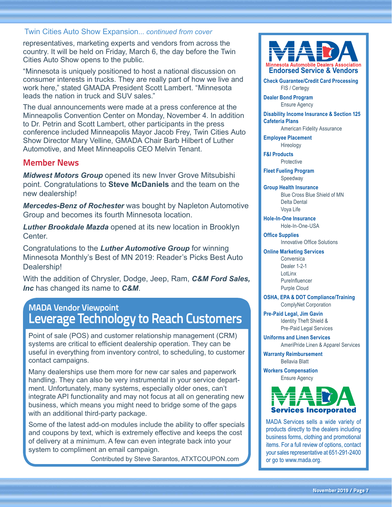#### <span id="page-6-0"></span>[Twin Cities Auto Show Expansion...](#page-0-0) *continued from cover*

representatives, marketing experts and vendors from across the country. It will be held on Friday, March 6, the day before the Twin Cities Auto Show opens to the public.

"Minnesota is uniquely positioned to host a national discussion on consumer interests in trucks. They are really part of how we live and work here," stated GMADA President Scott Lambert. "Minnesota leads the nation in truck and SUV sales."

The dual announcements were made at a press conference at the Minneapolis Convention Center on Monday, November 4. In addition to Dr. Petrin and Scott Lambert, other participants in the press conference included Minneapolis Mayor Jacob Frey, Twin Cities Auto Show Director Mary Velline, GMADA Chair Barb Hilbert of Luther Automotive, and Meet Minneapolis CEO Melvin Tenant.

#### **Member News**

*Midwest Motors Group* opened its new Inver Grove Mitsubishi point. Congratulations to **Steve McDaniels** and the team on the new dealership!

*Mercedes-Benz of Rochester* was bought by Napleton Automotive Group and becomes its fourth Minnesota location.

*Luther Brookdale Mazda* opened at its new location in Brooklyn Center.

Congratulations to the *Luther Automotive Group* for winning Minnesota Monthly's Best of MN 2019: Reader's Picks Best Auto Dealership!

With the addition of Chrysler, Dodge, Jeep, Ram, *C&M Ford Sales, Inc* has changed its name to *C&M*.

### **MADA Vendor Viewpoint Leverage Technology to Reach Customers**

Point of sale (POS) and customer relationship management (CRM) systems are critical to efficient dealership operation. They can be useful in everything from inventory control, to scheduling, to customer contact campaigns.

Many dealerships use them more for new car sales and paperwork handling. They can also be very instrumental in your service department. Unfortunately, many systems, especially older ones, can't integrate API functionality and may not focus at all on generating new business, which means you might need to bridge some of the gaps with an additional third-party package.

Some of the latest add-on modules include the ability to offer specials and coupons by text, which is extremely effective and keeps the cost of delivery at a minimum. A few can even integrate back into your system to compliment an email campaign.

Contributed by Steve Sarantos, [ATXTCOUPON.com](http://ATXTCOUPON.com)



**Check Guarantee/Credit Card Processing** FIS / Certegy

**Dealer Bond Program** Ensure Agency

**Disability Income Insurance & Section 125 Cafeteria Plans**

American Fidelity Assurance

**Employee Placement**

Hireology **F&I Products**

**Protective** 

**Fleet Fueling Program** Speedway

#### **Group Health Insurance**

Blue Cross Blue Shield of MN Delta Dental Voya Life

**Hole-In-One Insurance**

Hole-In-One-USA

**Office Supplies** Innovative Office Solutions

#### **Online Marketing Services**

**Conversica** Dealer 1-2-1 LotLinx **PureInfluencer** Purple Cloud

**OSHA, EPA & DOT Compliance/Training** ComplyNet Corporation

**Pre-Paid Legal, Jim Gavin** Identity Theft Shield & Pre-Paid Legal Services

**Uniforms and Linen Services**

AmeriPride Linen & Apparel Services

**Warranty Reimbursement** Bellavia Blatt

**Workers Compensation** Ensure Agency



MADA Services sells a wide variety of products directly to the dealers including business forms, clothing and promotional items. For a full review of options, contact your sales representative at 651-291-2400 or go to <www.mada.org>.